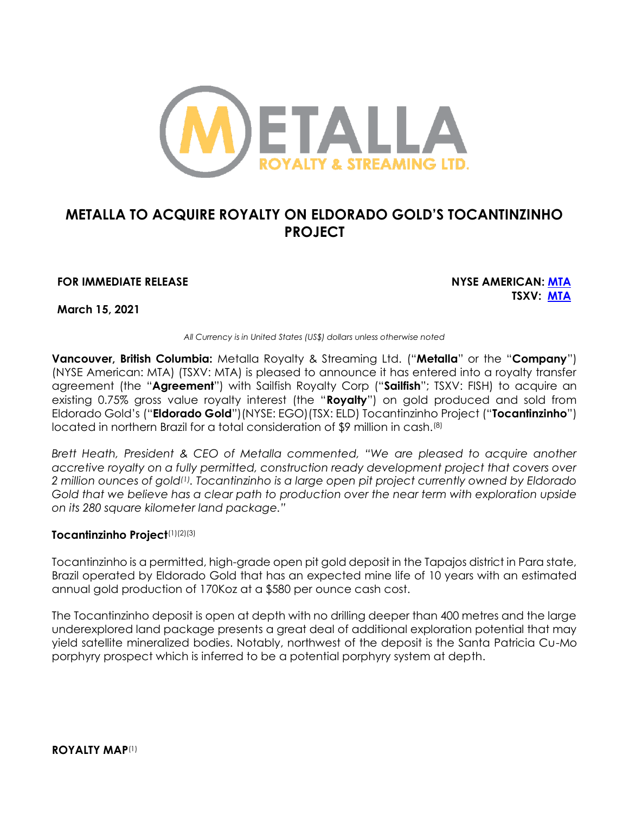

# **METALLA TO ACQUIRE ROYALTY ON ELDORADO GOLD'S TOCANTINZINHO PROJECT**

#### **FOR IMMEDIATE RELEASE NYSE AMERICAN: [MTA](https://www.nyse.com/quote/XASE:MTA)**

**TSXV: [MTA](https://web.tmxmoney.com/quote.php?qm_symbol=MTA)**

**March 15, 2021**

*All Currency is in United States (US\$) dollars unless otherwise noted*

**Vancouver, British Columbia:** Metalla Royalty & Streaming Ltd. ("**Metalla**" or the "**Company**") (NYSE American: MTA) (TSXV: MTA) is pleased to announce it has entered into a royalty transfer agreement (the "**Agreement**") with Sailfish Royalty Corp ("**Sailfish**"; TSXV: FISH) to acquire an existing 0.75% gross value royalty interest (the "**Royalty**") on gold produced and sold from Eldorado Gold's ("**Eldorado Gold**")(NYSE: EGO)(TSX: ELD) Tocantinzinho Project ("**Tocantinzinho**") located in northern Brazil for a total consideration of \$9 million in cash.(8)

*Brett Heath, President & CEO of Metalla commented, "We are pleased to acquire another accretive royalty on a fully permitted, construction ready development project that covers over 2 million ounces of gold(1). Tocantinzinho is a large open pit project currently owned by Eldorado Gold that we believe has a clear path to production over the near term with exploration upside on its 280 square kilometer land package."*

## **Tocantinzinho Project**(1)(2)(3)

Tocantinzinho is a permitted, high-grade open pit gold deposit in the Tapajos district in Para state, Brazil operated by Eldorado Gold that has an expected mine life of 10 years with an estimated annual gold production of 170Koz at a \$580 per ounce cash cost.

The Tocantinzinho deposit is open at depth with no drilling deeper than 400 metres and the large underexplored land package presents a great deal of additional exploration potential that may yield satellite mineralized bodies. Notably, northwest of the deposit is the Santa Patricia Cu-Mo porphyry prospect which is inferred to be a potential porphyry system at depth.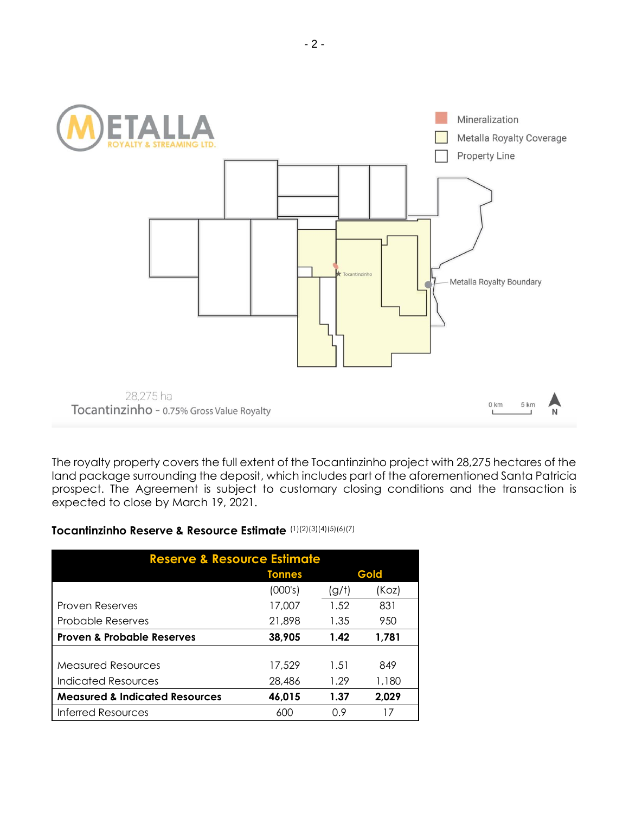

The royalty property covers the full extent of the Tocantinzinho project with 28,275 hectares of the land package surrounding the deposit, which includes part of the aforementioned Santa Patricia prospect. The Agreement is subject to customary closing conditions and the transaction is expected to close by March 19, 2021.

## **Tocantinzinho Reserve & Resource Estimate** (1)(2)(3)(4)(5)(6)(7)

| <b>Reserve &amp; Resource Estimate</b>    |               |       |       |  |
|-------------------------------------------|---------------|-------|-------|--|
|                                           | <b>Tonnes</b> |       | Gold  |  |
|                                           | (000's)       | (g/t) | (Koz) |  |
| <b>Proven Reserves</b>                    | 17,007        | 1.52  | 831   |  |
| <b>Probable Reserves</b>                  | 21,898        | 1.35  | 950   |  |
| <b>Proven &amp; Probable Reserves</b>     | 38,905        | 1.42  | 1,781 |  |
|                                           |               |       |       |  |
| <b>Measured Resources</b>                 | 17,529        | 1.51  | 849   |  |
| Indicated Resources                       | 28,486        | 1.29  | 1,180 |  |
| <b>Measured &amp; Indicated Resources</b> | 46.015        | 1.37  | 2,029 |  |
| Inferred Resources                        | 600           | 0.9   |       |  |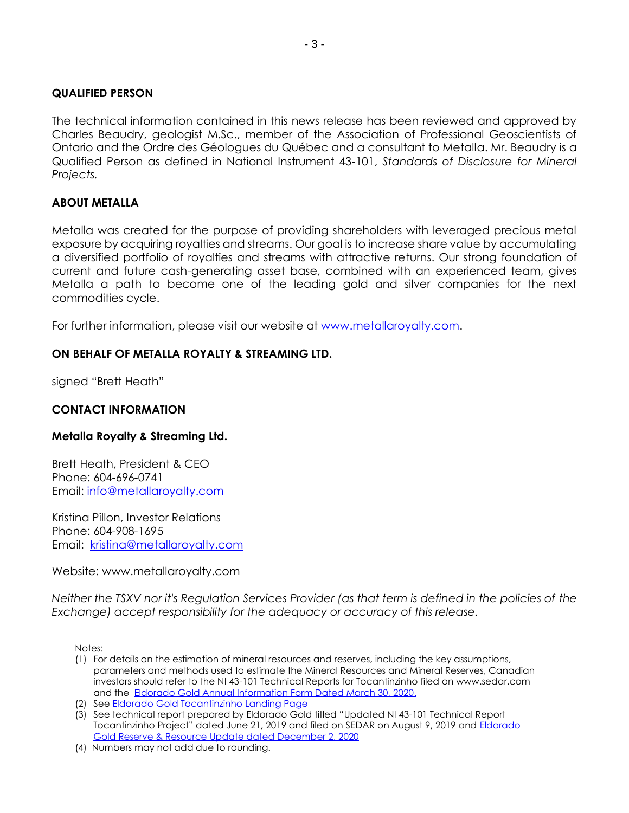## **QUALIFIED PERSON**

The technical information contained in this news release has been reviewed and approved by Charles Beaudry, geologist M.Sc., member of the Association of Professional Geoscientists of Ontario and the Ordre des Géologues du Québec and a consultant to Metalla. Mr. Beaudry is a Qualified Person as defined in National Instrument 43-101, *Standards of Disclosure for Mineral Projects.*

#### **ABOUT METALLA**

Metalla was created for the purpose of providing shareholders with leveraged precious metal exposure by acquiring royalties and streams. Our goal is to increase share value by accumulating a diversified portfolio of royalties and streams with attractive returns. Our strong foundation of current and future cash-generating asset base, combined with an experienced team, gives Metalla a path to become one of the leading gold and silver companies for the next commodities cycle.

For further information, please visit our website at [www.metallaroyalty.com.](http://www.metallaroyalty.com/)

## **ON BEHALF OF METALLA ROYALTY & STREAMING LTD.**

signed "Brett Heath"

## **CONTACT INFORMATION**

## **Metalla Royalty & Streaming Ltd.**

Brett Heath, President & CEO Phone: [604-696-0741](tel:604-696-0741) Email: [info@metallaroyalty.com](mailto:info@metallaroyalty.com)

Kristina Pillon, Investor Relations Phone: 604-908-1695 Email: [kristina@metallaroyalty.com](mailto:kristina@metallaroyalty.com)

Website: [www.metallaroyalty.com](http://www.metallaroyalty.com/)

*Neither the TSXV nor it's Regulation Services Provider (as that term is defined in the policies of the Exchange) accept responsibility for the adequacy or accuracy of this release.* 

Notes:

- (1) For details on the estimation of mineral resources and reserves, including the key assumptions, parameters and methods used to estimate the Mineral Resources and Mineral Reserves, Canadian investors should refer to the NI 43-101 Technical Reports for Tocantinzinho filed on www.sedar.com and the [Eldorado Gold Annual Information Form Dated March 30, 2020.](http://d18rn0p25nwr6d.cloudfront.net/CIK-0000918608/fbad7905-08f2-41b4-b066-5d32473c7b77.pdf)
- (2) Se[e Eldorado Gold Tocantinzinho Landing Page](https://www.eldoradogold.com/assets/operations-and-projects/south-america/projects/tocantinzinho/default.aspx)
- (3) See technical report prepared by Eldorado Gold titled "Updated NI 43-101 Technical Report Tocantinzinho Project" dated June 21, 2019 and filed on SEDAR on August 9, 2019 and [Eldorado](https://www.eldoradogold.com/news-and-media/news-releases/press-release-details/2020/Eldorado-Gold-Releases-Updated-Reserve-and-Resource-Statement/default.aspx)  [Gold Reserve & Resource Update dated December 2, 2020](https://www.eldoradogold.com/news-and-media/news-releases/press-release-details/2020/Eldorado-Gold-Releases-Updated-Reserve-and-Resource-Statement/default.aspx)
- (4) Numbers may not add due to rounding.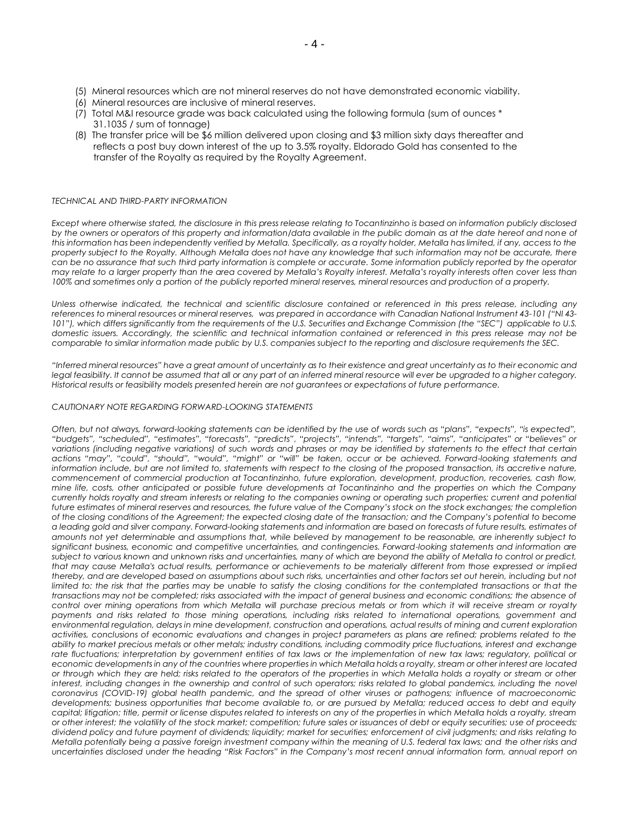- (5) Mineral resources which are not mineral reserves do not have demonstrated economic viability.
- (6) Mineral resources are inclusive of mineral reserves.
- (7) Total M&I resource grade was back calculated using the following formula (sum of ounces \* 31.1035 / sum of tonnage)
- (8) The transfer price will be \$6 million delivered upon closing and \$3 million sixty days thereafter and reflects a post buy down interest of the up to 3.5% royalty. Eldorado Gold has consented to the transfer of the Royalty as required by the Royalty Agreement.

#### *TECHNICAL AND THIRD-PARTY INFORMATION*

*Except where otherwise stated, the disclosure in this press release relating to Tocantinzinho is based on information publicly disclosed*  by the owners or operators of this property and information/data available in the public domain as at the date hereof and none of *this information has been independently verified by Metalla. Specifically, as a royalty holder, Metalla has limited, if any, access to the property subject to the Royalty. Although Metalla does not have any knowledge that such information may not be accurate, there can be no assurance that such third party information is complete or accurate. Some information publicly reported by the operator may relate to a larger property than the area covered by Metalla's Royalty interest. Metalla's royalty interests often cover less than 100% and sometimes only a portion of the publicly reported mineral reserves, mineral resources and production of a property.*

*Unless otherwise indicated, the technical and scientific disclosure contained or referenced in this press release, including any references to mineral resources or mineral reserves, was prepared in accordance with Canadian National Instrument 43-101 ("NI 43- 101"), which differs significantly from the requirements of the U.S. Securities and Exchange Commission (the "SEC") applicable to U.S. domestic issuers. Accordingly, the scientific and technical information contained or referenced in this press release may not be comparable to similar information made public by U.S. companies subject to the reporting and disclosure requirements the SEC.*

*"Inferred mineral resources" have a great amount of uncertainty as to their existence and great uncertainty as to their economic and*  legal feasibility. It cannot be assumed that all or any part of an inferred mineral resource will ever be upgraded to a higher category. *Historical results or feasibility models presented herein are not guarantees or expectations of future performance.*

#### *CAUTIONARY NOTE REGARDING FORWARD-LOOKING STATEMENTS*

*Often, but not always, forward-looking statements can be identified by the use of words such as "plans", "expects", "is expected", "budgets", "scheduled", "estimates", "forecasts", "predicts", "projects", "intends", "targets", "aims", "anticipates" or "believes" or variations (including negative variations) of such words and phrases or may be identified by statements to the effect that certain actions "may", "could", "should", "would", "might" or "will" be taken, occur or be achieved. Forward-looking statements and*  information include, but are not limited to, statements with respect to the closing of the proposed transaction, its accretive nature, *commencement of commercial production at Tocantinzinho, future exploration, development, production, recoveries, cash flow, mine life, costs, other anticipated or possible future developments at Tocantinzinho and the properties on which the Company currently holds royalty and stream interests or relating to the companies owning or operating such properties; current and potential future estimates of mineral reserves and resources, the future value of the Company's stock on the stock exchanges; the completion of the closing conditions of the Agreement; the expected closing date of the transaction; and the Company's potential to become a leading gold and silver company. Forward-looking statements and information are based on forecasts of future results, estimates of amounts not yet determinable and assumptions that, while believed by management to be reasonable, are inherently subject to significant business, economic and competitive uncertainties, and contingencies. Forward-looking statements and information are subject to various known and unknown risks and uncertainties, many of which are beyond the ability of Metalla to control or predict, that may cause Metalla's actual results, performance or achievements to be materially different from those expressed or implied thereby, and are developed based on assumptions about such risks, uncertainties and other factors set out herein, including but not limited to: the risk that the parties may be unable to satisfy the closing conditions for the contemplated transactions or that the transactions may not be completed; risks associated with the impact of general business and economic conditions; the absence of control over mining operations from which Metalla will purchase precious metals or from which it will receive stream or royalty payments and risks related to those mining operations, including risks related to international operations, government and environmental regulation, delays in mine development, construction and operations, actual results of mining and current exploration activities, conclusions of economic evaluations and changes in project parameters as plans are refined; problems related to the ability to market precious metals or other metals; industry conditions, including commodity price fluctuations, interest and exchange rate fluctuations; interpretation by government entities of tax laws or the implementation of new tax laws; regulatory, political or economic developments in any of the countries where properties in which Metalla holds a royalty, stream or other interest are located or through which they are held; risks related to the operators of the properties in which Metalla holds a royalty or stream or other interest, including changes in the ownership and control of such operators; risks related to global pandemics, including the novel coronavirus (COVID-19) global health pandemic, and the spread of other viruses or pathogens; influence of macroeconomic developments; business opportunities that become available to, or are pursued by Metalla; reduced access to debt and equity capital; litigation; title, permit or license disputes related to interests on any of the properties in which Metalla holds a royalty, stream or other interest; the volatility of the stock market; competition; future sales or issuances of debt or equity securities; use of proceeds; dividend policy and future payment of dividends; liquidity; market for securities; enforcement of civil judgments; and risks relating to Metalla potentially being a passive foreign investment company within the meaning of U.S. federal tax laws; and the other risks and uncertainties disclosed under the heading "Risk Factors" in the Company's most recent annual information form, annual report on*